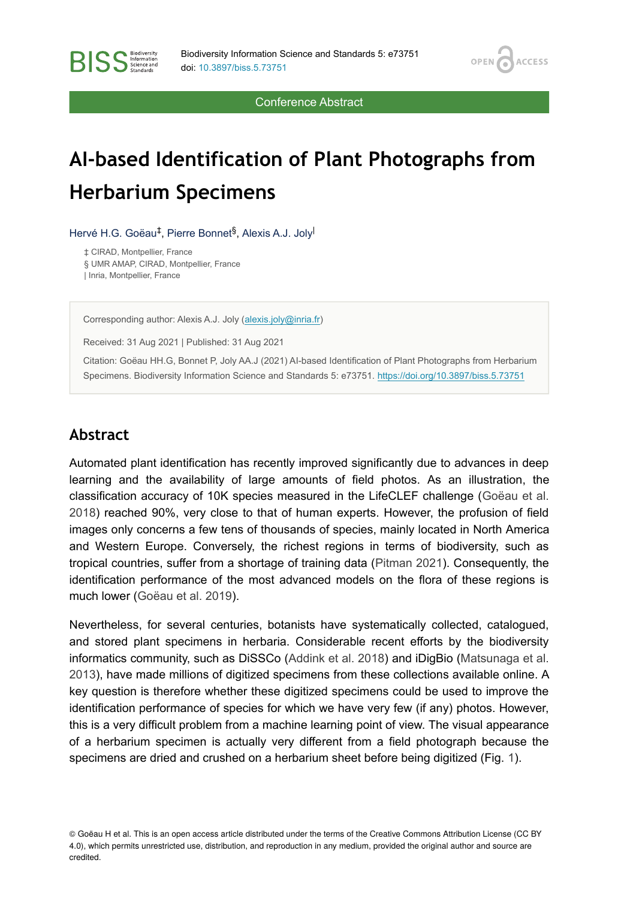OPEN /

**ACCESS** 

Conference Abstract

# **AI-based Identification of Plant Photographs from Herbarium Specimens**

Hervé H.G. Goëau<sup>‡</sup>, Pierre Bonnet<sup>§</sup>, Alexis A.J. Joly<sup>l</sup>

‡ CIRAD, Montpellier, France § UMR AMAP, CIRAD, Montpellier, France | Inria, Montpellier, France

Corresponding author: Alexis A.J. Joly [\(alexis.joly@inria.fr](mailto:alexis.joly@inria.fr))

Received: 31 Aug 2021 | Published: 31 Aug 2021

Citation: Goëau HH.G, Bonnet P, Joly AA.J (2021) AI-based Identification of Plant Photographs from Herbarium Specimens. Biodiversity Information Science and Standards 5: e73751.<https://doi.org/10.3897/biss.5.73751>

#### **Abstract**

**BISS** Steince and

Automated plant identification has recently improved significantly due to advances in deep learning and the availability of large amounts of field photos. As an illustration, the classification accuracy of 10K species measured in the LifeCLEF challenge ([Goëau et al.](#page-3-0) [2018](#page-3-0)) reached 90%, very close to that of human experts. However, the profusion of field images only concerns a few tens of thousands of species, mainly located in North America and Western Europe. Conversely, the richest regions in terms of biodiversity, such as tropical countries, suffer from a shortage of training data ([Pitman 2021\)](#page-3-1). Consequently, the identification performance of the most advanced models on the flora of these regions is much lower ([Goëau et al. 2019\)](#page-3-2).

Nevertheless, for several centuries, botanists have systematically collected, catalogued, and stored plant specimens in herbaria. Considerable recent efforts by the biodiversity informatics community, such as DiSSCo [\(Addink et al. 2018\)](#page-3-3) and iDigBio [\(Matsunaga et al.](#page-3-4) [2013](#page-3-4)), have made millions of digitized specimens from these collections available online. A key question is therefore whether these digitized specimens could be used to improve the identification performance of species for which we have very few (if any) photos. However, this is a very difficult problem from a machine learning point of view. The visual appearance of a herbarium specimen is actually very different from a field photograph because the specimens are dried and crushed on a herbarium sheet before being digitized (Fig. [1](#page-1-0)).

© Goëau H et al. This is an open access article distributed under the terms of the Creative Commons Attribution License (CC BY 4.0), which permits unrestricted use, distribution, and reproduction in any medium, provided the original author and source are credited.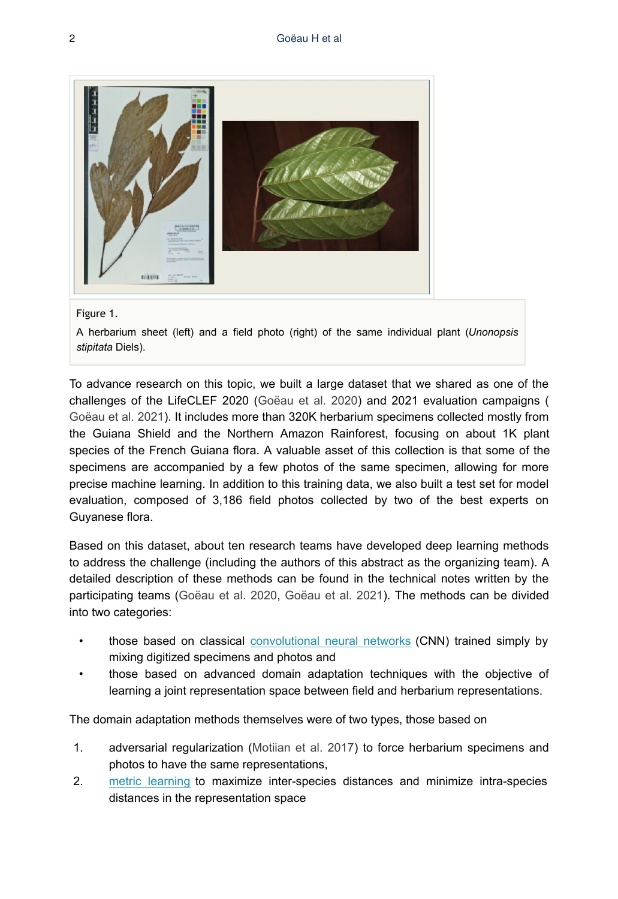<span id="page-1-0"></span>

#### Figure 1.

A herbarium sheet (left) and a field photo (right) of the same individual plant (*Unonopsis stipitata* Diels).

To advance research on this topic, we built a large dataset that we shared as one of the challenges of the LifeCLEF 2020 [\(Goëau et al. 2020\)](#page-3-5) and 2021 evaluation campaigns ( [Goëau et al. 2021](#page-3-6)). It includes more than 320K herbarium specimens collected mostly from the Guiana Shield and the Northern Amazon Rainforest, focusing on about 1K plant species of the French Guiana flora. A valuable asset of this collection is that some of the specimens are accompanied by a few photos of the same specimen, allowing for more precise machine learning. In addition to this training data, we also built a test set for model evaluation, composed of 3,186 field photos collected by two of the best experts on Guyanese flora.

Based on this dataset, about ten research teams have developed deep learning methods to address the challenge (including the authors of this abstract as the organizing team). A detailed description of these methods can be found in the technical notes written by the participating teams [\(Goëau et al. 2020,](#page-3-5) [Goëau et al. 2021\)](#page-3-6). The methods can be divided into two categories:

- those based on classical [convolutional neural networks](https://en.wikipedia.org/wiki/Convolutional_neural_network) (CNN) trained simply by mixing digitized specimens and photos and
- those based on advanced domain adaptation techniques with the objective of learning a joint representation space between field and herbarium representations.

The domain adaptation methods themselves were of two types, those based on

- 1. adversarial regularization ([Motiian et al. 2017\)](#page-3-7) to force herbarium specimens and photos to have the same representations,
- 2. [metric learning](https://en.wikipedia.org/wiki/Similarity_learning#Metric_learning) to maximize inter-species distances and minimize intra-species distances in the representation space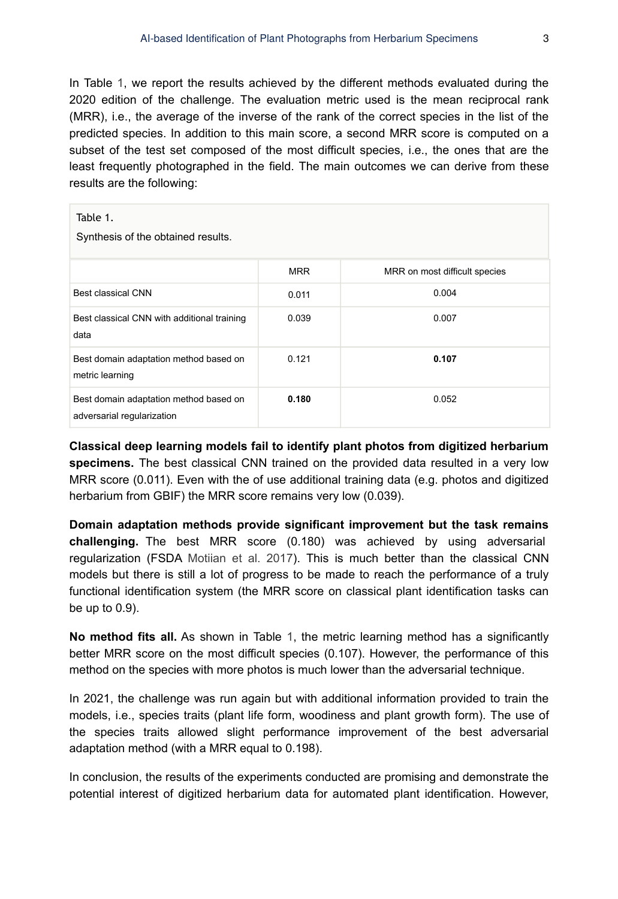In Table [1,](#page-2-0) we report the results achieved by the different methods evaluated during the 2020 edition of the challenge. The evaluation metric used is the mean reciprocal rank (MRR), i.e., the average of the inverse of the rank of the correct species in the list of the predicted species. In addition to this main score, a second MRR score is computed on a subset of the test set composed of the most difficult species, i.e., the ones that are the least frequently photographed in the field. The main outcomes we can derive from these results are the following:

#### <span id="page-2-0"></span>Table 1.

Synthesis of the obtained results.

|                                                                      | <b>MRR</b> | MRR on most difficult species |
|----------------------------------------------------------------------|------------|-------------------------------|
| <b>Best classical CNN</b>                                            | 0.011      | 0.004                         |
| Best classical CNN with additional training<br>data                  | 0.039      | 0.007                         |
| Best domain adaptation method based on<br>metric learning            | 0.121      | 0.107                         |
| Best domain adaptation method based on<br>adversarial regularization | 0.180      | 0.052                         |

**Classical deep learning models fail to identify plant photos from digitized herbarium specimens.** The best classical CNN trained on the provided data resulted in a very low MRR score (0.011). Even with the of use additional training data (e.g. photos and digitized herbarium from GBIF) the MRR score remains very low (0.039).

**Domain adaptation methods provide significant improvement but the task remains challenging.** The best MRR score (0.180) was achieved by using adversarial regularization (FSDA [Motiian et al. 2017\)](#page-3-7). This is much better than the classical CNN models but there is still a lot of progress to be made to reach the performance of a truly functional identification system (the MRR score on classical plant identification tasks can be up to 0.9).

**No method fits all.** As shown in Table [1,](#page-2-0) the metric learning method has a significantly better MRR score on the most difficult species (0.107). However, the performance of this method on the species with more photos is much lower than the adversarial technique.

In 2021, the challenge was run again but with additional information provided to train the models, i.e., species traits (plant life form, woodiness and plant growth form). The use of the species traits allowed slight performance improvement of the best adversarial adaptation method (with a MRR equal to 0.198).

In conclusion, the results of the experiments conducted are promising and demonstrate the potential interest of digitized herbarium data for automated plant identification. However,